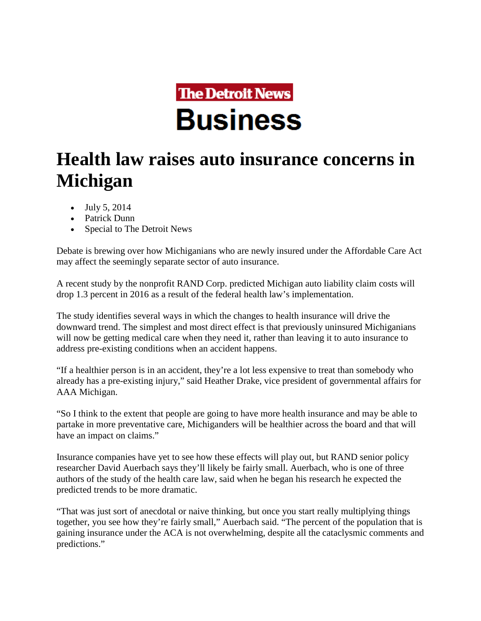

## **Health law raises auto insurance concerns in Michigan**

- July 5, 2014
- Patrick Dunn
- Special to The Detroit News

Debate is brewing over how Michiganians who are newly insured under the Affordable Care Act may affect the seemingly separate sector of auto insurance.

A recent study by the nonprofit RAND Corp. predicted Michigan auto liability claim costs will drop 1.3 percent in 2016 as a result of the federal health law's implementation.

The study identifies several ways in which the changes to health insurance will drive the downward trend. The simplest and most direct effect is that previously uninsured Michiganians will now be getting medical care when they need it, rather than leaving it to auto insurance to address pre-existing conditions when an accident happens.

"If a healthier person is in an accident, they're a lot less expensive to treat than somebody who already has a pre-existing injury," said Heather Drake, vice president of governmental affairs for AAA Michigan.

"So I think to the extent that people are going to have more health insurance and may be able to partake in more preventative care, Michiganders will be healthier across the board and that will have an impact on claims."

Insurance companies have yet to see how these effects will play out, but RAND senior policy researcher David Auerbach says they'll likely be fairly small. Auerbach, who is one of three authors of the study of the health care law, said when he began his research he expected the predicted trends to be more dramatic.

"That was just sort of anecdotal or naive thinking, but once you start really multiplying things together, you see how they're fairly small," Auerbach said. "The percent of the population that is gaining insurance under the ACA is not overwhelming, despite all the cataclysmic comments and predictions."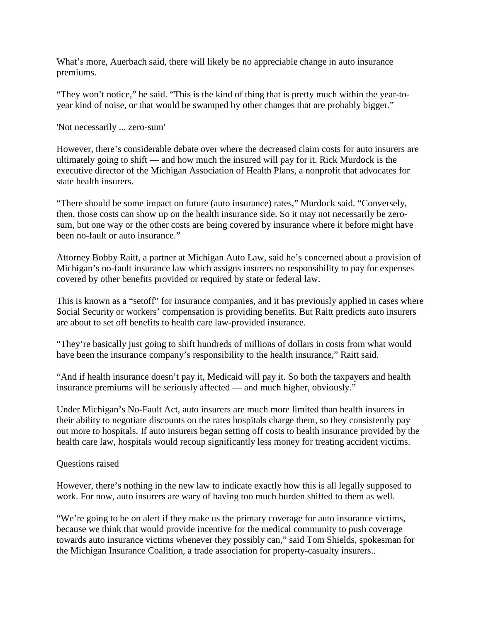What's more, Auerbach said, there will likely be no appreciable change in auto insurance premiums.

"They won't notice," he said. "This is the kind of thing that is pretty much within the year-toyear kind of noise, or that would be swamped by other changes that are probably bigger."

'Not necessarily ... zero-sum'

However, there's considerable debate over where the decreased claim costs for auto insurers are ultimately going to shift — and how much the insured will pay for it. Rick Murdock is the executive director of the Michigan Association of Health Plans, a nonprofit that advocates for state health insurers.

"There should be some impact on future (auto insurance) rates," Murdock said. "Conversely, then, those costs can show up on the health insurance side. So it may not necessarily be zerosum, but one way or the other costs are being covered by insurance where it before might have been no-fault or auto insurance."

Attorney Bobby Raitt, a partner at Michigan Auto Law, said he's concerned about a provision of Michigan's no-fault insurance law which assigns insurers no responsibility to pay for expenses covered by other benefits provided or required by state or federal law.

This is known as a "setoff" for insurance companies, and it has previously applied in cases where Social Security or workers' compensation is providing benefits. But Raitt predicts auto insurers are about to set off benefits to health care law-provided insurance.

"They're basically just going to shift hundreds of millions of dollars in costs from what would have been the insurance company's responsibility to the health insurance," Raitt said.

"And if health insurance doesn't pay it, Medicaid will pay it. So both the taxpayers and health insurance premiums will be seriously affected — and much higher, obviously."

Under Michigan's No-Fault Act, auto insurers are much more limited than health insurers in their ability to negotiate discounts on the rates hospitals charge them, so they consistently pay out more to hospitals. If auto insurers began setting off costs to health insurance provided by the health care law, hospitals would recoup significantly less money for treating accident victims.

## Questions raised

However, there's nothing in the new law to indicate exactly how this is all legally supposed to work. For now, auto insurers are wary of having too much burden shifted to them as well.

"We're going to be on alert if they make us the primary coverage for auto insurance victims, because we think that would provide incentive for the medical community to push coverage towards auto insurance victims whenever they possibly can," said Tom Shields, spokesman for the Michigan Insurance Coalition, a trade association for property-casualty insurers..